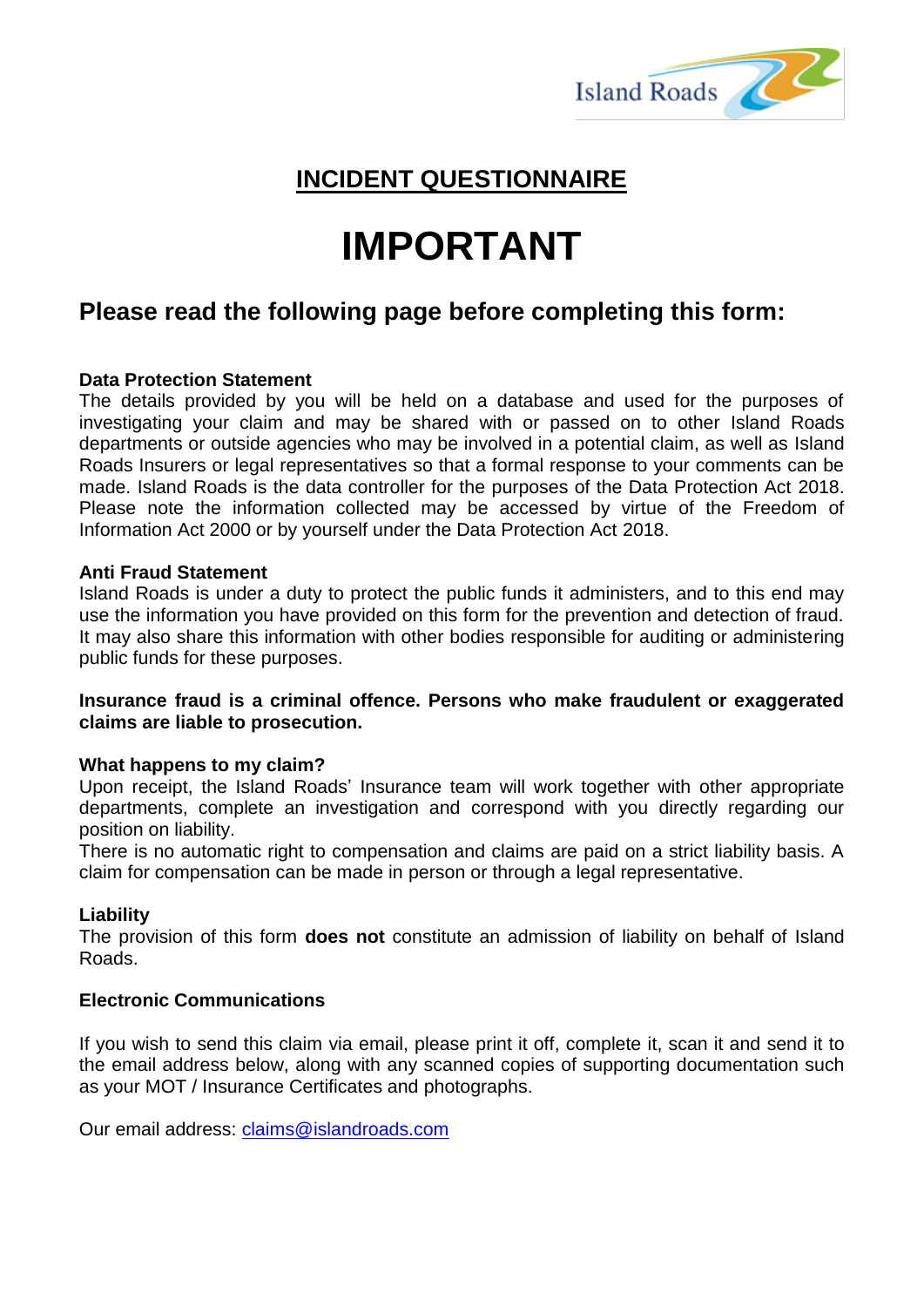

# **INCIDENT QUESTIONNAIRE**

# **IMPORTANT**

## **Please read the following page before completing this form:**

#### **Data Protection Statement**

The details provided by you will be held on a database and used for the purposes of investigating your claim and may be shared with or passed on to other Island Roads departments or outside agencies who may be involved in a potential claim, as well as Island Roads Insurers or legal representatives so that a formal response to your comments can be made. Island Roads is the data controller for the purposes of the Data Protection Act 2018. Please note the information collected may be accessed by virtue of the Freedom of Information Act 2000 or by yourself under the Data Protection Act 2018.

#### **Anti Fraud Statement**

Island Roads is under a duty to protect the public funds it administers, and to this end may use the information you have provided on this form for the prevention and detection of fraud. It may also share this information with other bodies responsible for auditing or administering public funds for these purposes.

#### **Insurance fraud is a criminal offence. Persons who make fraudulent or exaggerated claims are liable to prosecution.**

#### **What happens to my claim?**

Upon receipt, the Island Roads' Insurance team will work together with other appropriate departments, complete an investigation and correspond with you directly regarding our position on liability.

There is no automatic right to compensation and claims are paid on a strict liability basis. A claim for compensation can be made in person or through a legal representative.

#### **Liability**

The provision of this form **does not** constitute an admission of liability on behalf of Island Roads.

#### **Electronic Communications**

If you wish to send this claim via email, please print it off, complete it, scan it and send it to the email address below, along with any scanned copies of supporting documentation such as your MOT / Insurance Certificates and photographs.

Our email address: [claims@islandroads.com](mailto:claims@islandroads.com)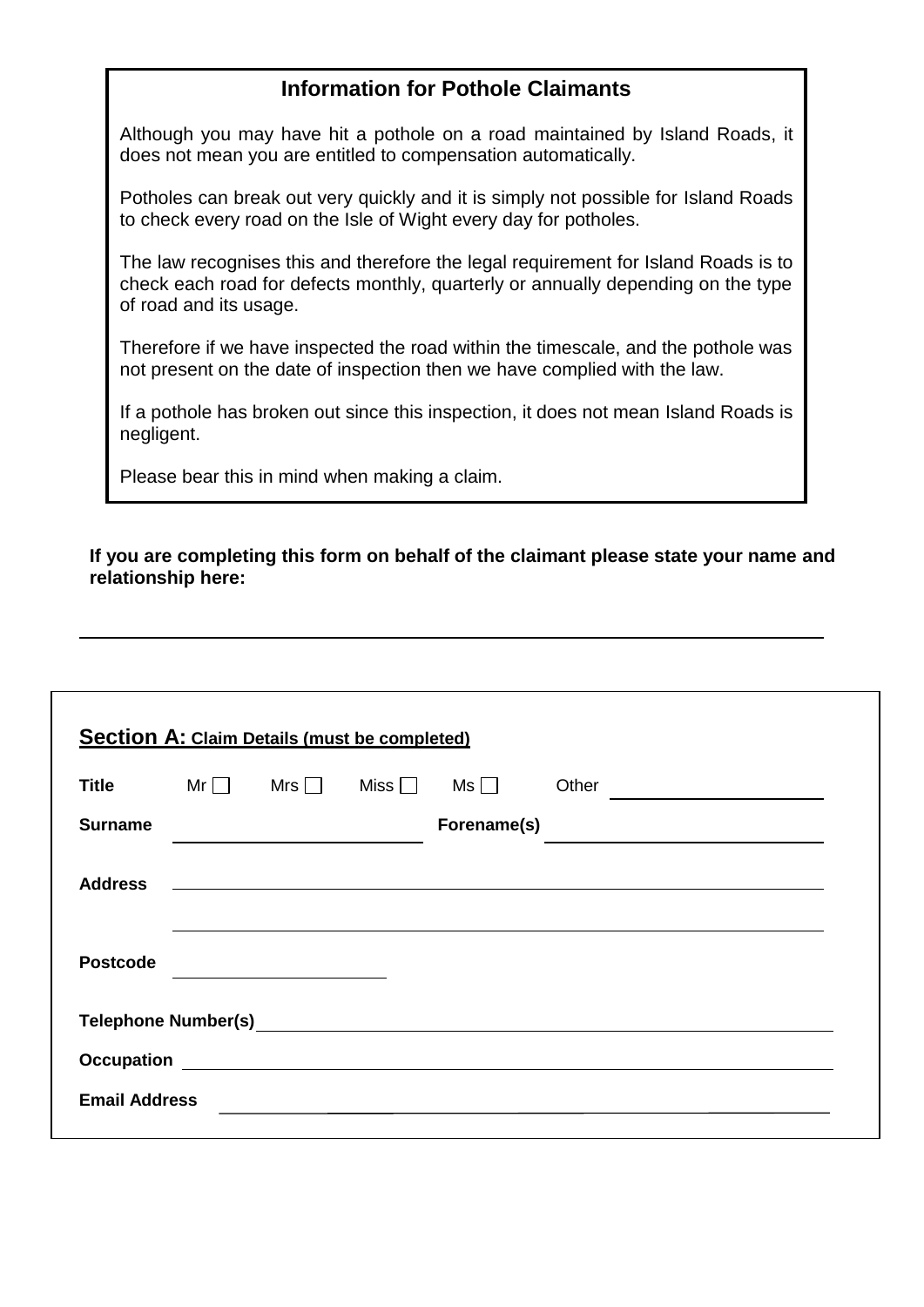## **Information for Pothole Claimants**

Although you may have hit a pothole on a road maintained by Island Roads, it does not mean you are entitled to compensation automatically.

Potholes can break out very quickly and it is simply not possible for Island Roads to check every road on the Isle of Wight every day for potholes.

The law recognises this and therefore the legal requirement for Island Roads is to check each road for defects monthly, quarterly or annually depending on the type of road and its usage.

Therefore if we have inspected the road within the timescale, and the pothole was not present on the date of inspection then we have complied with the law.

If a pothole has broken out since this inspection, it does not mean Island Roads is negligent.

Please bear this in mind when making a claim.

 **If you are completing this form on behalf of the claimant please state your name and relationship here:**

| <b>Title</b>    |  | $Mr \Box$ Mrs $\Box$ Miss $\Box$ | $Ms \Box$   | Other |  |
|-----------------|--|----------------------------------|-------------|-------|--|
| <b>Surname</b>  |  |                                  | Forename(s) |       |  |
| <b>Address</b>  |  |                                  |             |       |  |
| <b>Postcode</b> |  |                                  |             |       |  |
|                 |  |                                  |             |       |  |
|                 |  |                                  |             |       |  |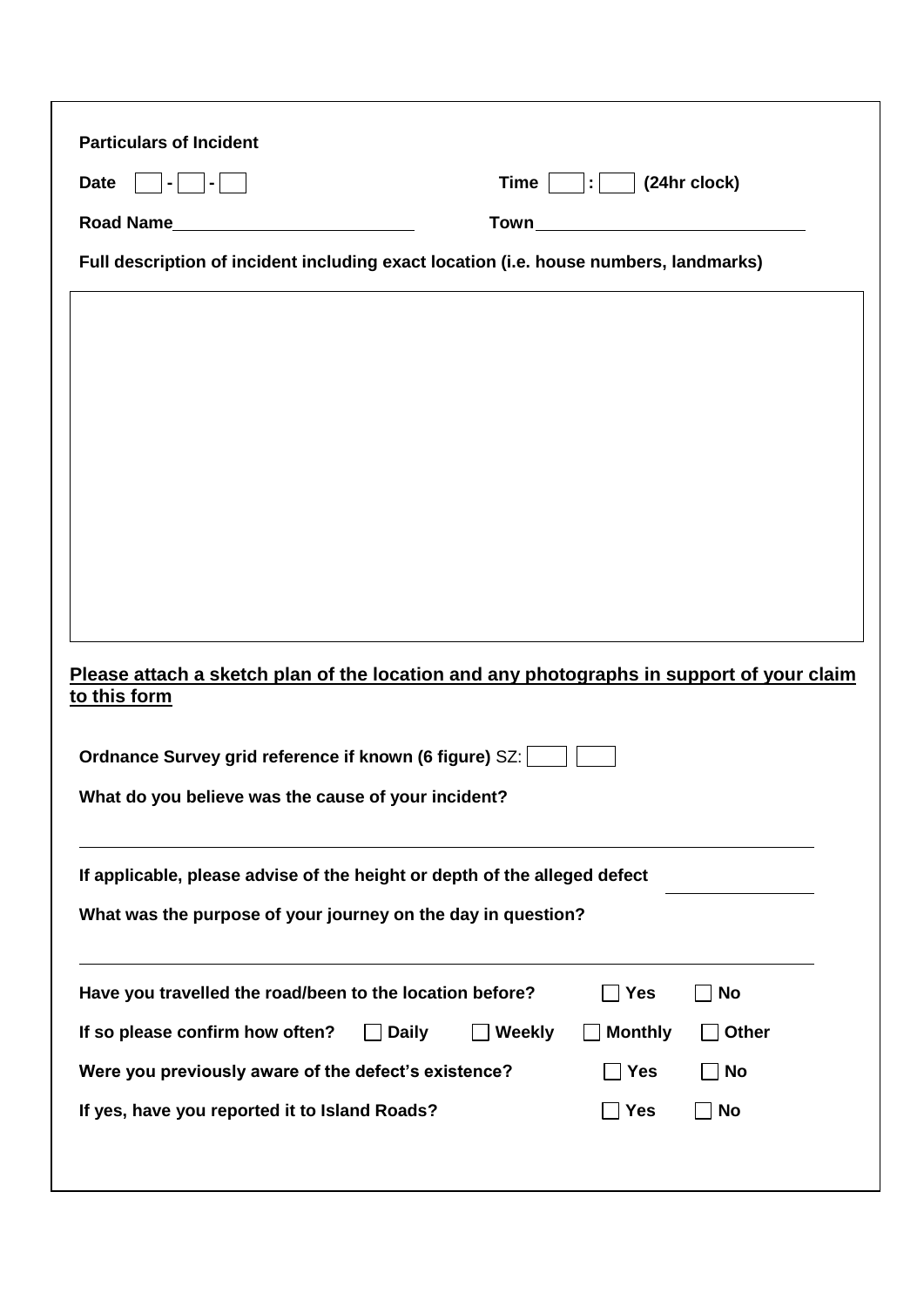| <b>Date</b>                                                                                              | Time          | $\mathbf{E}$   (24hr clock) |                           |  |  |
|----------------------------------------------------------------------------------------------------------|---------------|-----------------------------|---------------------------|--|--|
| Road Name<br><u> 1980 - Jan Barbara Barbara, prima politik po</u>                                        | Town          |                             |                           |  |  |
| Full description of incident including exact location (i.e. house numbers, landmarks)                    |               |                             |                           |  |  |
|                                                                                                          |               |                             |                           |  |  |
|                                                                                                          |               |                             |                           |  |  |
|                                                                                                          |               |                             |                           |  |  |
|                                                                                                          |               |                             |                           |  |  |
|                                                                                                          |               |                             |                           |  |  |
|                                                                                                          |               |                             |                           |  |  |
|                                                                                                          |               |                             |                           |  |  |
|                                                                                                          |               |                             |                           |  |  |
|                                                                                                          |               |                             |                           |  |  |
|                                                                                                          |               |                             |                           |  |  |
| Please attach a sketch plan of the location and any photographs in support of your claim<br>to this form |               |                             |                           |  |  |
| Ordnance Survey grid reference if known (6 figure) SZ:                                                   |               |                             |                           |  |  |
| What do you believe was the cause of your incident?                                                      |               |                             |                           |  |  |
|                                                                                                          |               |                             |                           |  |  |
| If applicable, please advise of the height or depth of the alleged defect                                |               |                             |                           |  |  |
| What was the purpose of your journey on the day in question?                                             |               |                             |                           |  |  |
|                                                                                                          |               |                             |                           |  |  |
| Have you travelled the road/been to the location before?                                                 |               | <b>Yes</b>                  | <b>No</b><br>$\mathbf{I}$ |  |  |
| If so please confirm how often?<br><b>Daily</b>                                                          | <b>Weekly</b> | <b>Monthly</b>              | <b>Other</b>              |  |  |
| Were you previously aware of the defect's existence?                                                     |               | Yes                         | No                        |  |  |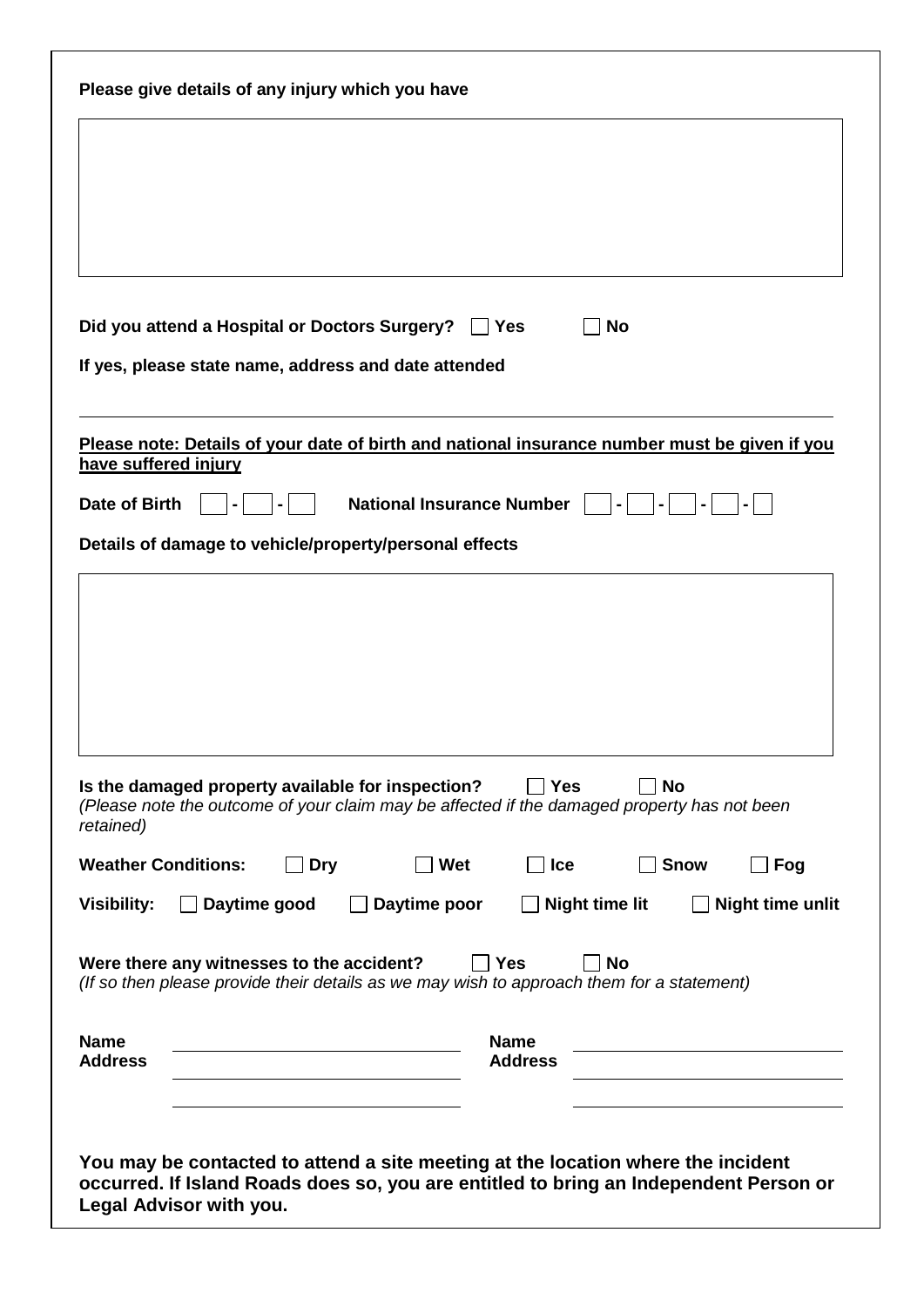| Please give details of any injury which you have                                                                                                                                  |
|-----------------------------------------------------------------------------------------------------------------------------------------------------------------------------------|
|                                                                                                                                                                                   |
|                                                                                                                                                                                   |
|                                                                                                                                                                                   |
| Did you attend a Hospital or Doctors Surgery?<br><b>Yes</b><br><b>No</b>                                                                                                          |
| If yes, please state name, address and date attended                                                                                                                              |
| Please note: Details of your date of birth and national insurance number must be given if you                                                                                     |
| have suffered injury<br><b>Date of Birth</b><br><b>National Insurance Number</b>                                                                                                  |
| Details of damage to vehicle/property/personal effects                                                                                                                            |
| Is the damaged property available for inspection?<br>Yes<br><b>No</b><br>(Please note the outcome of your claim may be affected if the damaged property has not been<br>retained) |
| <b>Weather Conditions:</b><br><b>Dry</b><br>Wet<br>Ice<br><b>Snow</b><br>Fog                                                                                                      |
| Daytime good<br>Daytime poor<br><b>Night time lit</b><br><b>Night time unlit</b><br><b>Visibility:</b>                                                                            |
| Were there any witnesses to the accident?<br><b>Yes</b><br><b>No</b><br>(If so then please provide their details as we may wish to approach them for a statement)                 |
| <b>Name</b><br><b>Name</b><br><b>Address</b><br><b>Address</b>                                                                                                                    |
| You may be contacted to attend a site meeting at the location where the incident<br>occurred. If Island Roads does so, you are entitled to bring an Independent Person or         |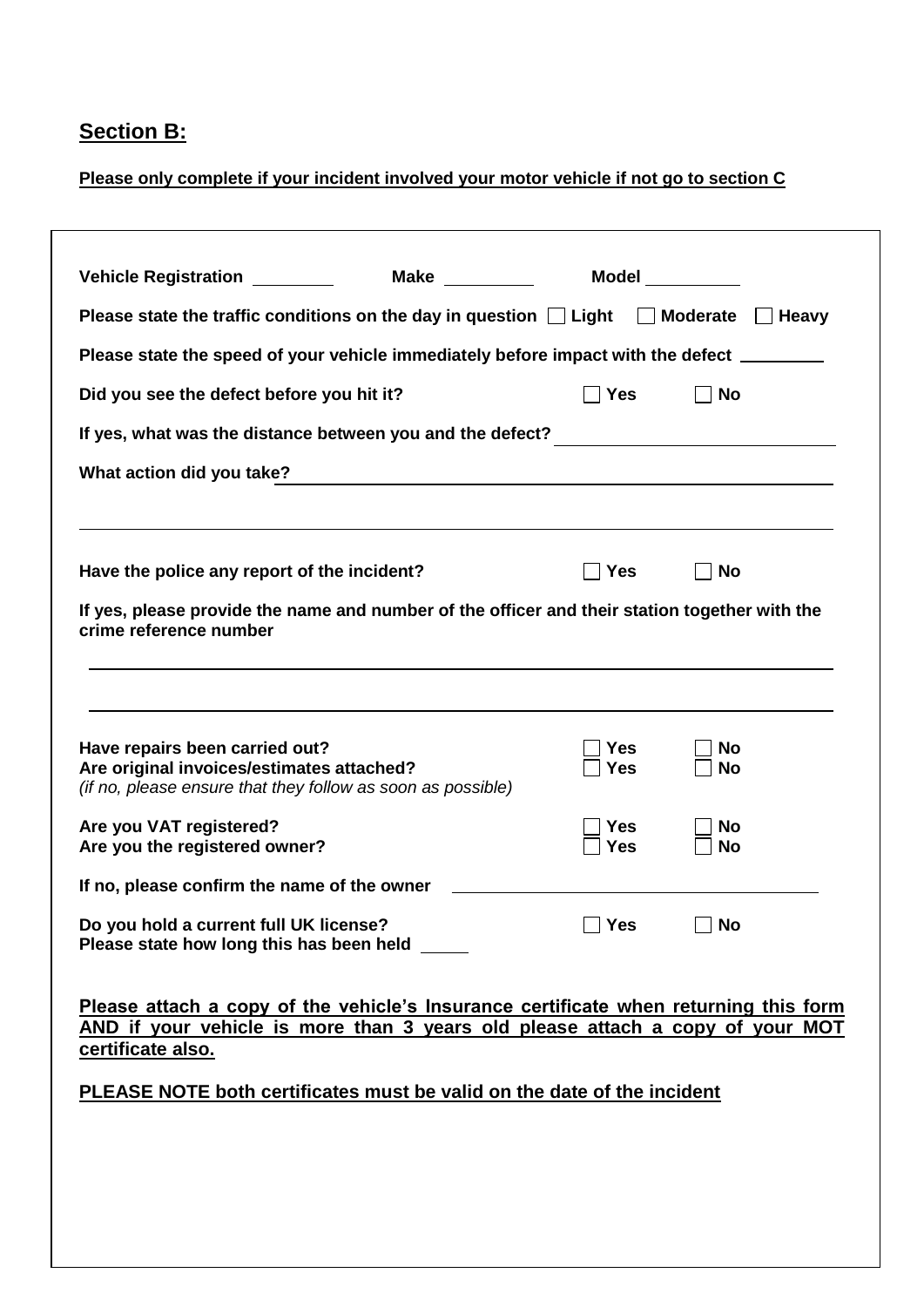# **Section B:**

## **Please only complete if your incident involved your motor vehicle if not go to section C**

| Vehicle Registration <u>New Yerman</u>                                                                                                                                                                                                                                | <b>Make Make</b> |                   | <b>Model Model</b> |
|-----------------------------------------------------------------------------------------------------------------------------------------------------------------------------------------------------------------------------------------------------------------------|------------------|-------------------|--------------------|
| Please state the traffic conditions on the day in question $\Box$ Light $\Box$ Moderate $\Box$ Heavy                                                                                                                                                                  |                  |                   |                    |
| Please state the speed of your vehicle immediately before impact with the defect ________                                                                                                                                                                             |                  |                   |                    |
| Did you see the defect before you hit it?                                                                                                                                                                                                                             |                  | <b>Yes</b>        | <b>No</b>          |
| If yes, what was the distance between you and the defect? _____________________________                                                                                                                                                                               |                  |                   |                    |
| What action did you take?                                                                                                                                                                                                                                             |                  |                   |                    |
| Have the police any report of the incident?                                                                                                                                                                                                                           |                  | <b>Yes</b>        | <b>No</b>          |
| If yes, please provide the name and number of the officer and their station together with the<br>crime reference number                                                                                                                                               |                  |                   |                    |
| Have repairs been carried out?<br>Are original invoices/estimates attached?<br>(if no, please ensure that they follow as soon as possible)                                                                                                                            |                  | Yes<br><b>Yes</b> | No<br><b>No</b>    |
| Are you VAT registered?<br>Are you the registered owner?                                                                                                                                                                                                              |                  | Yes<br>Yes        | No<br>No           |
| If no, please confirm the name of the owner                                                                                                                                                                                                                           |                  |                   |                    |
| Do you hold a current full UK license?<br>Please state how long this has been held                                                                                                                                                                                    |                  | $\Box$ Yes        | $\Box$ No          |
| Please attach a copy of the vehicle's Insurance certificate when returning this form<br>AND if your vehicle is more than 3 years old please attach a copy of your MOT<br>certificate also.<br>PLEASE NOTE both certificates must be valid on the date of the incident |                  |                   |                    |